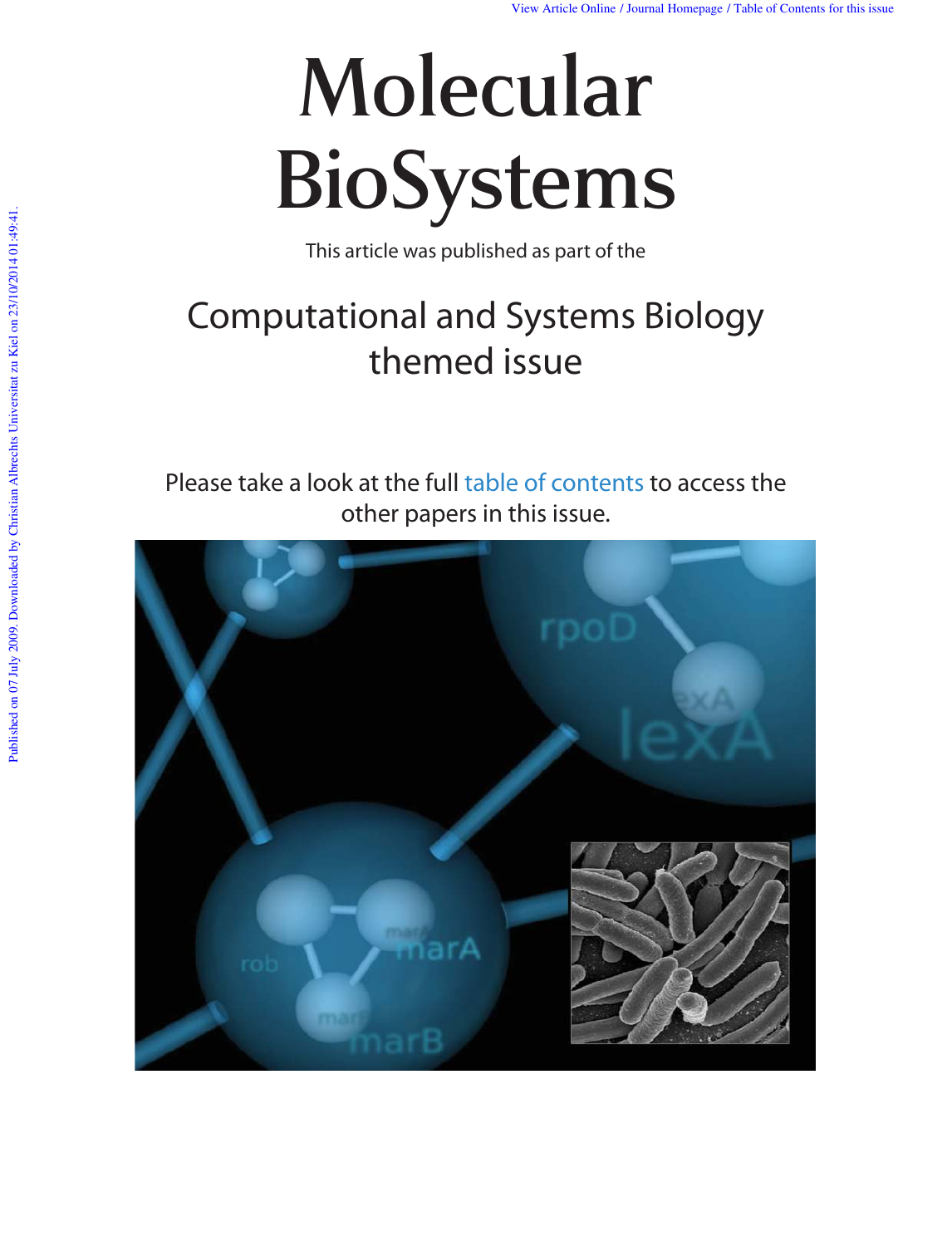# Molecular BioSystems

This article was published as part of the

## Computational and Systems Biology themed issue

Please take a look at the full table of contents to access the other papers in this issue.

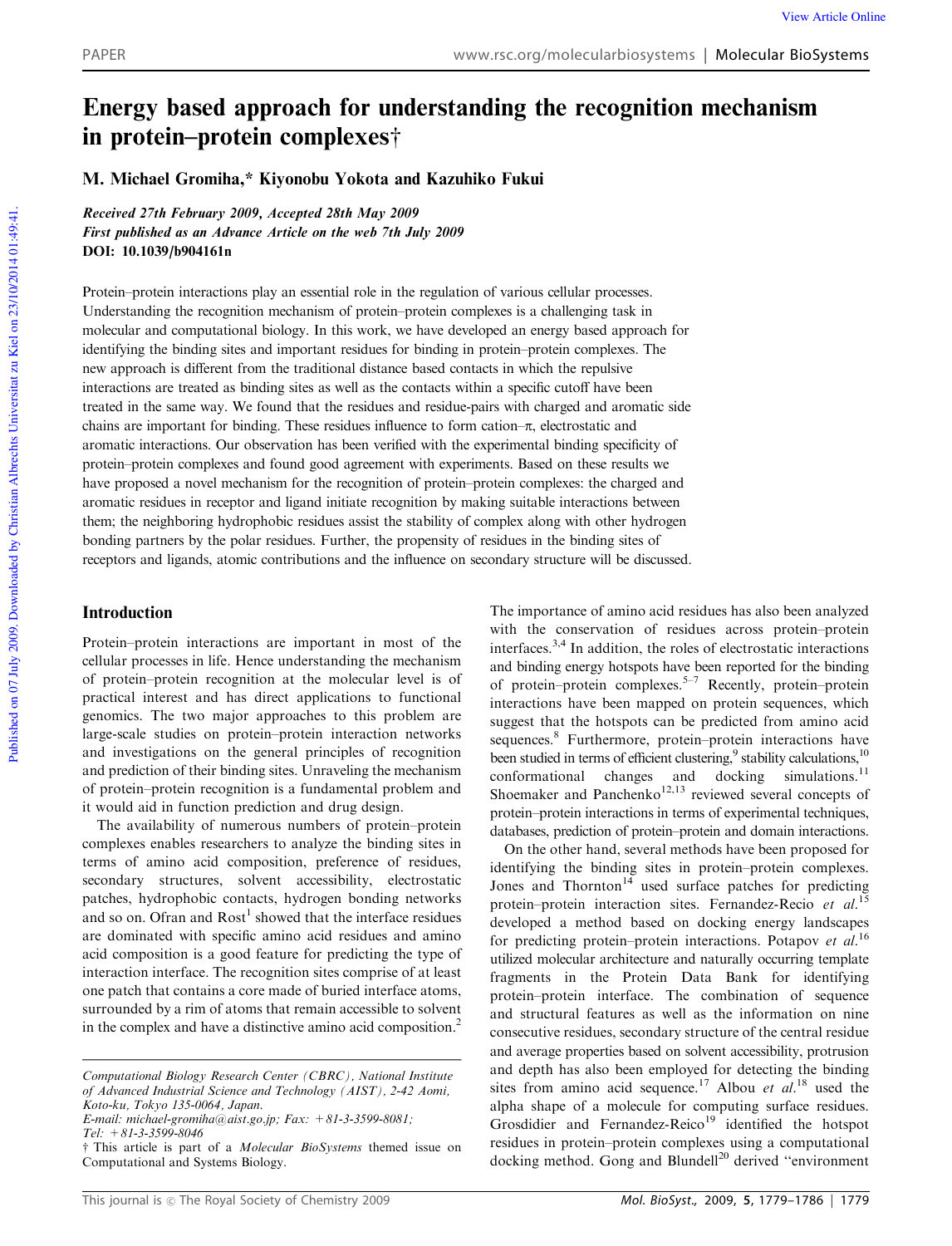### Energy based approach for understanding the recognition mechanism in protein–protein complexes†

M. Michael Gromiha,\* Kiyonobu Yokota and Kazuhiko Fukui

Received 27th February 2009, Accepted 28th May 2009 First published as an Advance Article on the web 7th July 2009 DOI: 10.1039/b904161n

Protein–protein interactions play an essential role in the regulation of various cellular processes. Understanding the recognition mechanism of protein–protein complexes is a challenging task in molecular and computational biology. In this work, we have developed an energy based approach for identifying the binding sites and important residues for binding in protein–protein complexes. The new approach is different from the traditional distance based contacts in which the repulsive interactions are treated as binding sites as well as the contacts within a specific cutoff have been treated in the same way. We found that the residues and residue-pairs with charged and aromatic side chains are important for binding. These residues influence to form cation– $\pi$ , electrostatic and aromatic interactions. Our observation has been verified with the experimental binding specificity of protein–protein complexes and found good agreement with experiments. Based on these results we have proposed a novel mechanism for the recognition of protein–protein complexes: the charged and aromatic residues in receptor and ligand initiate recognition by making suitable interactions between them; the neighboring hydrophobic residues assist the stability of complex along with other hydrogen bonding partners by the polar residues. Further, the propensity of residues in the binding sites of receptors and ligands, atomic contributions and the influence on secondary structure will be discussed.

#### Introduction

Protein–protein interactions are important in most of the cellular processes in life. Hence understanding the mechanism of protein–protein recognition at the molecular level is of practical interest and has direct applications to functional genomics. The two major approaches to this problem are large-scale studies on protein–protein interaction networks and investigations on the general principles of recognition and prediction of their binding sites. Unraveling the mechanism of protein–protein recognition is a fundamental problem and it would aid in function prediction and drug design.

The availability of numerous numbers of protein–protein complexes enables researchers to analyze the binding sites in terms of amino acid composition, preference of residues, secondary structures, solvent accessibility, electrostatic patches, hydrophobic contacts, hydrogen bonding networks and so on. Ofran and Rost<sup>1</sup> showed that the interface residues are dominated with specific amino acid residues and amino acid composition is a good feature for predicting the type of interaction interface. The recognition sites comprise of at least one patch that contains a core made of buried interface atoms, surrounded by a rim of atoms that remain accessible to solvent in the complex and have a distinctive amino acid composition.<sup>2</sup>

The importance of amino acid residues has also been analyzed with the conservation of residues across protein–protein interfaces.3,4 In addition, the roles of electrostatic interactions and binding energy hotspots have been reported for the binding of protein–protein complexes.5–7 Recently, protein–protein interactions have been mapped on protein sequences, which suggest that the hotspots can be predicted from amino acid sequences.<sup>8</sup> Furthermore, protein–protein interactions have been studied in terms of efficient clustering,<sup>9</sup> stability calculations,<sup>10</sup> conformational changes and docking simulations.<sup>11</sup> Shoemaker and Panchenko<sup>12,13</sup> reviewed several concepts of protein–protein interactions in terms of experimental techniques, databases, prediction of protein–protein and domain interactions.

On the other hand, several methods have been proposed for identifying the binding sites in protein–protein complexes. Jones and Thornton $14$  used surface patches for predicting protein–protein interaction sites. Fernandez-Recio *et al.*<sup>15</sup> developed a method based on docking energy landscapes for predicting protein–protein interactions. Potapov *et al.*<sup>16</sup> utilized molecular architecture and naturally occurring template fragments in the Protein Data Bank for identifying protein–protein interface. The combination of sequence and structural features as well as the information on nine consecutive residues, secondary structure of the central residue and average properties based on solvent accessibility, protrusion and depth has also been employed for detecting the binding sites from amino acid sequence.<sup>17</sup> Albou *et al.*<sup>18</sup> used the alpha shape of a molecule for computing surface residues. Grosdidier and Fernandez-Reico<sup>19</sup> identified the hotspot residues in protein–protein complexes using a computational docking method. Gong and Blundell<sup>20</sup> derived "environment

*Computational Biology Research Center (CBRC), National Institute of Advanced Industrial Science and Technology (AIST), 2-42 Aomi, Koto-ku, Tokyo 135-0064, Japan.*

*E-mail: michael-gromiha@aist.go.jp; Fax: +81-3-3599-8081; Tel: +81-3-3599-8046*

w This article is part of a *Molecular BioSystems* themed issue on Computational and Systems Biology.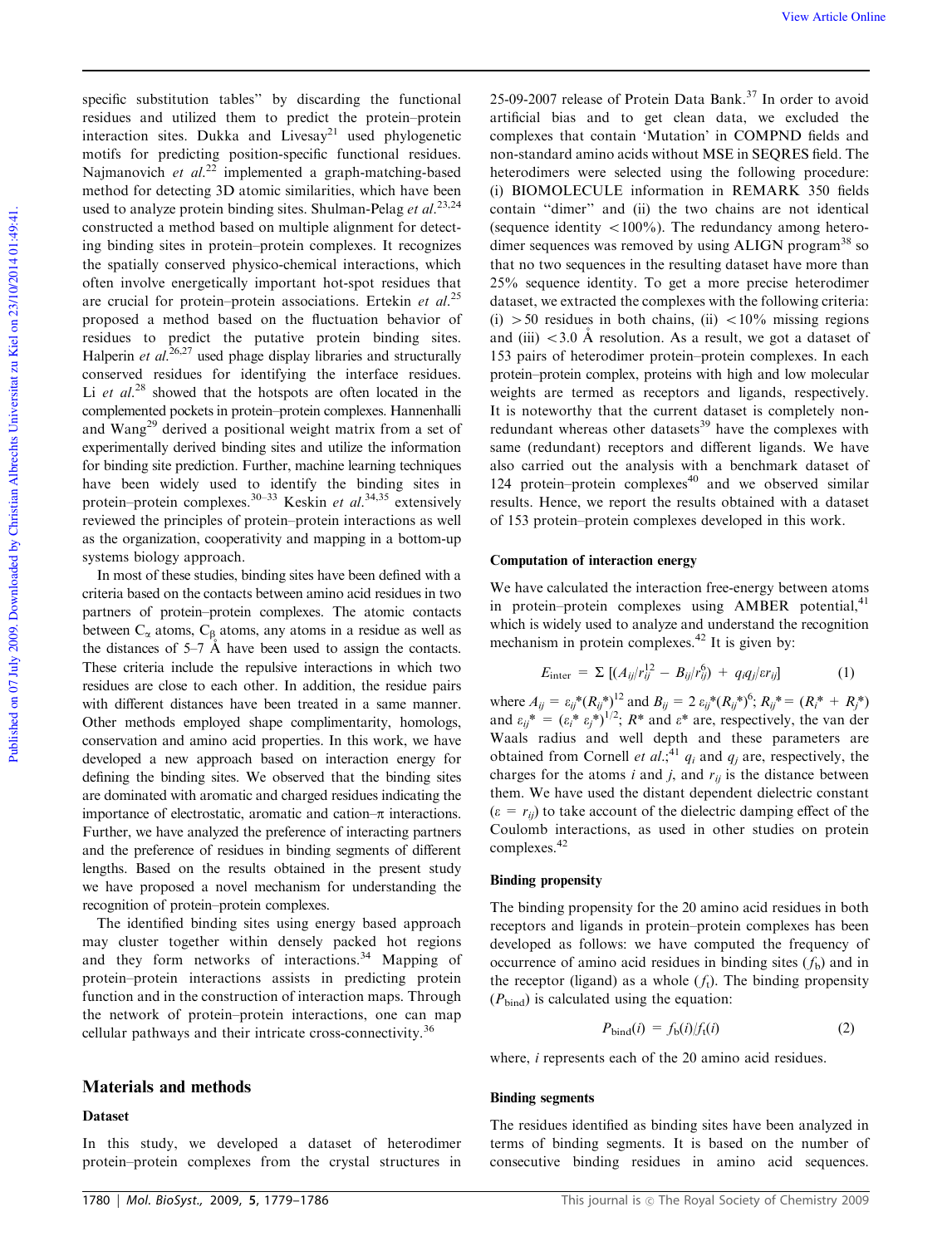specific substitution tables'' by discarding the functional residues and utilized them to predict the protein–protein interaction sites. Dukka and Livesay<sup>21</sup> used phylogenetic motifs for predicting position-specific functional residues. Najmanovich *et al.*<sup>22</sup> implemented a graph-matching-based method for detecting 3D atomic similarities, which have been used to analyze protein binding sites. Shulman-Pelag *et al.*23,24 constructed a method based on multiple alignment for detecting binding sites in protein–protein complexes. It recognizes the spatially conserved physico-chemical interactions, which often involve energetically important hot-spot residues that are crucial for protein–protein associations. Ertekin *et al.*<sup>25</sup> proposed a method based on the fluctuation behavior of residues to predict the putative protein binding sites. Halperin *et al.*<sup>26,27</sup> used phage display libraries and structurally conserved residues for identifying the interface residues. Li *et al.*<sup>28</sup> showed that the hotspots are often located in the complemented pockets in protein–protein complexes. Hannenhalli and Wang<sup>29</sup> derived a positional weight matrix from a set of experimentally derived binding sites and utilize the information for binding site prediction. Further, machine learning techniques have been widely used to identify the binding sites in protein–protein complexes.30–33 Keskin *et al.*34,35 extensively reviewed the principles of protein–protein interactions as well as the organization, cooperativity and mapping in a bottom-up systems biology approach.

In most of these studies, binding sites have been defined with a criteria based on the contacts between amino acid residues in two partners of protein–protein complexes. The atomic contacts between  $C_{\alpha}$  atoms,  $C_{\beta}$  atoms, any atoms in a residue as well as the distances of  $5-7$  Å have been used to assign the contacts. These criteria include the repulsive interactions in which two residues are close to each other. In addition, the residue pairs with different distances have been treated in a same manner. Other methods employed shape complimentarity, homologs, conservation and amino acid properties. In this work, we have developed a new approach based on interaction energy for defining the binding sites. We observed that the binding sites are dominated with aromatic and charged residues indicating the importance of electrostatic, aromatic and cation– $\pi$  interactions. Further, we have analyzed the preference of interacting partners and the preference of residues in binding segments of different lengths. Based on the results obtained in the present study we have proposed a novel mechanism for understanding the recognition of protein–protein complexes.

The identified binding sites using energy based approach may cluster together within densely packed hot regions and they form networks of interactions.<sup>34</sup> Mapping of protein–protein interactions assists in predicting protein function and in the construction of interaction maps. Through the network of protein–protein interactions, one can map cellular pathways and their intricate cross-connectivity.<sup>36</sup>

#### Materials and methods

#### Dataset

In this study, we developed a dataset of heterodimer protein–protein complexes from the crystal structures in

25-09-2007 release of Protein Data Bank.<sup>37</sup> In order to avoid artificial bias and to get clean data, we excluded the complexes that contain 'Mutation' in COMPND fields and non-standard amino acids without MSE in SEQRES field. The heterodimers were selected using the following procedure: (i) BIOMOLECULE information in REMARK 350 fields contain ''dimer'' and (ii) the two chains are not identical (sequence identity  $\langle 100\%$ ). The redundancy among heterodimer sequences was removed by using ALIGN program $^{38}$  so that no two sequences in the resulting dataset have more than 25% sequence identity. To get a more precise heterodimer dataset, we extracted the complexes with the following criteria: (i)  $> 50$  residues in both chains, (ii)  $< 10\%$  missing regions and (iii)  $\langle 3.0 \text{ Å}$  resolution. As a result, we got a dataset of 153 pairs of heterodimer protein–protein complexes. In each protein–protein complex, proteins with high and low molecular weights are termed as receptors and ligands, respectively. It is noteworthy that the current dataset is completely nonredundant whereas other datasets<sup>39</sup> have the complexes with same (redundant) receptors and different ligands. We have also carried out the analysis with a benchmark dataset of 124 protein–protein complexes $40$  and we observed similar results. Hence, we report the results obtained with a dataset of 153 protein–protein complexes developed in this work.

#### Computation of interaction energy

We have calculated the interaction free-energy between atoms in protein–protein complexes using AMBER potential,<sup>41</sup> which is widely used to analyze and understand the recognition mechanism in protein complexes.<sup>42</sup> It is given by:

$$
E_{\text{inter}} = \sum \left[ (A_{ij}/r_{ij}^{12} - B_{ij}/r_{ij}^{6}) + q_i q_j / \varepsilon r_{ij} \right] \tag{1}
$$

where  $A_{ij} = \varepsilon_{ij}^*(R_{ij}^*)^{12}$  and  $B_{ij} = 2 \varepsilon_{ij}^*(R_{ij}^*)^6$ ;  $R_{ij}^* = (R_i^* + R_j^*)^6$ and  $\varepsilon_{ij}^*=(\varepsilon_i^* \varepsilon_j^*)^{1/2}$ ;  $R^*$  and  $\varepsilon^*$  are, respectively, the van der Waals radius and well depth and these parameters are obtained from Cornell *et al.*;<sup>41</sup>  $q_i$  and  $q_j$  are, respectively, the charges for the atoms  $i$  and  $j$ , and  $r_{ij}$  is the distance between them. We have used the distant dependent dielectric constant  $(\varepsilon = r_{ii})$  to take account of the dielectric damping effect of the Coulomb interactions, as used in other studies on protein complexes.<sup>42</sup>

#### Binding propensity

The binding propensity for the 20 amino acid residues in both receptors and ligands in protein–protein complexes has been developed as follows: we have computed the frequency of occurrence of amino acid residues in binding sites  $(f<sub>b</sub>)$  and in the receptor (ligand) as a whole  $(f_t)$ . The binding propensity  $(P<sub>bind</sub>)$  is calculated using the equation:

$$
P_{\text{bind}}(i) = f_{\text{b}}(i)/f_{\text{t}}(i) \tag{2}
$$

where, *i* represents each of the 20 amino acid residues.

#### Binding segments

The residues identified as binding sites have been analyzed in terms of binding segments. It is based on the number of consecutive binding residues in amino acid sequences.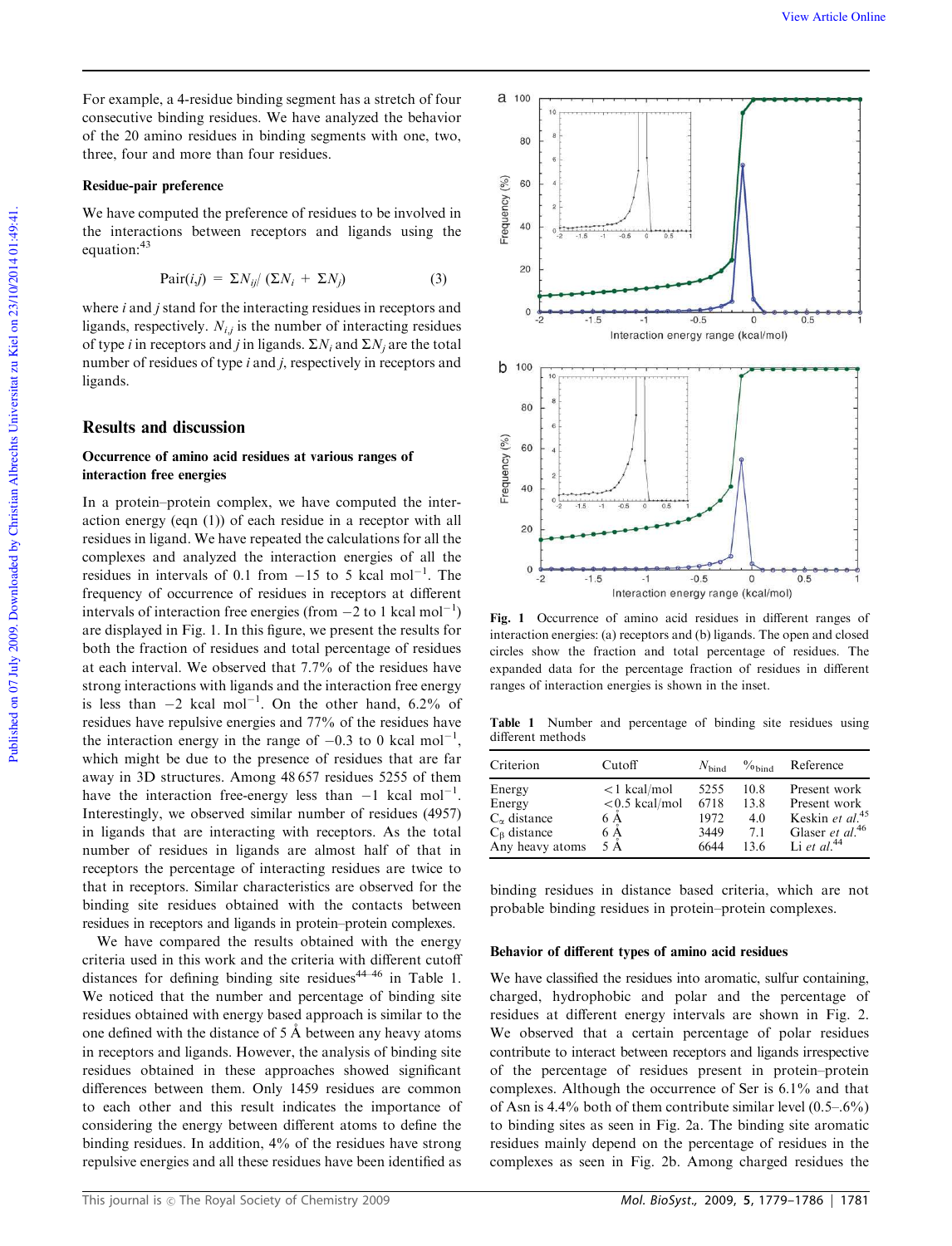For example, a 4-residue binding segment has a stretch of four consecutive binding residues. We have analyzed the behavior of the 20 amino residues in binding segments with one, two, three, four and more than four residues.

#### Residue-pair preference

We have computed the preference of residues to be involved in the interactions between receptors and ligands using the equation:<sup>43</sup>

$$
Pair(i,j) = \sum N_{ij} / (\sum N_i + \sum N_j)
$$
 (3)

where *i* and *j* stand for the interacting residues in receptors and ligands, respectively.  $N_{i,j}$  is the number of interacting residues of type *i* in receptors and *j* in ligands.  $\Sigma N_i$  and  $\Sigma N_j$  are the total number of residues of type *i* and *j*, respectively in receptors and ligands.

#### Results and discussion

#### Occurrence of amino acid residues at various ranges of interaction free energies

In a protein–protein complex, we have computed the interaction energy (eqn (1)) of each residue in a receptor with all residues in ligand. We have repeated the calculations for all the complexes and analyzed the interaction energies of all the residues in intervals of 0.1 from  $-15$  to 5 kcal mol<sup>-1</sup>. The frequency of occurrence of residues in receptors at different intervals of interaction free energies (from  $-2$  to 1 kcal mol<sup>-1</sup>) are displayed in Fig. 1. In this figure, we present the results for both the fraction of residues and total percentage of residues at each interval. We observed that 7.7% of the residues have strong interactions with ligands and the interaction free energy is less than  $-2$  kcal mol<sup>-1</sup>. On the other hand, 6.2% of residues have repulsive energies and 77% of the residues have the interaction energy in the range of  $-0.3$  to 0 kcal mol<sup>-1</sup>, which might be due to the presence of residues that are far away in 3D structures. Among 48 657 residues 5255 of them have the interaction free-energy less than  $-1$  kcal mol<sup>-1</sup>. Interestingly, we observed similar number of residues (4957) in ligands that are interacting with receptors. As the total number of residues in ligands are almost half of that in receptors the percentage of interacting residues are twice to that in receptors. Similar characteristics are observed for the binding site residues obtained with the contacts between residues in receptors and ligands in protein–protein complexes.

We have compared the results obtained with the energy criteria used in this work and the criteria with different cutoff distances for defining binding site residues<sup>44-46</sup> in Table 1. We noticed that the number and percentage of binding site residues obtained with energy based approach is similar to the one defined with the distance of 5 A between any heavy atoms in receptors and ligands. However, the analysis of binding site residues obtained in these approaches showed significant differences between them. Only 1459 residues are common to each other and this result indicates the importance of considering the energy between different atoms to define the binding residues. In addition, 4% of the residues have strong repulsive energies and all these residues have been identified as



Fig. 1 Occurrence of amino acid residues in different ranges of interaction energies: (a) receptors and (b) ligands. The open and closed circles show the fraction and total percentage of residues. The expanded data for the percentage fraction of residues in different ranges of interaction energies is shown in the inset.

Table 1 Number and percentage of binding site residues using different methods

| Criterion             | Cutoff           | $N_{\rm bind}$ | $\%_{bind}$ | Reference                   |
|-----------------------|------------------|----------------|-------------|-----------------------------|
| Energy                | $<$ 1 kcal/mol   | 5255           | 10.8        | Present work                |
| Energy                | $< 0.5$ kcal/mol | 6718           | 13.8        | Present work                |
| $C_{\gamma}$ distance | 6 A              | 1972           | 4.0         | Keskin et al. <sup>45</sup> |
| $C_{\rm B}$ distance  | 6 A              | 3449           | 7.1         | Glaser et al. <sup>46</sup> |
| Any heavy atoms       | 5 Å              | 6644           | 13.6        | Li et al. $44$              |

binding residues in distance based criteria, which are not probable binding residues in protein–protein complexes.

#### Behavior of different types of amino acid residues

We have classified the residues into aromatic, sulfur containing, charged, hydrophobic and polar and the percentage of residues at different energy intervals are shown in Fig. 2. We observed that a certain percentage of polar residues contribute to interact between receptors and ligands irrespective of the percentage of residues present in protein–protein complexes. Although the occurrence of Ser is 6.1% and that of Asn is  $4.4\%$  both of them contribute similar level  $(0.5-6\%)$ to binding sites as seen in Fig. 2a. The binding site aromatic residues mainly depend on the percentage of residues in the complexes as seen in Fig. 2b. Among charged residues the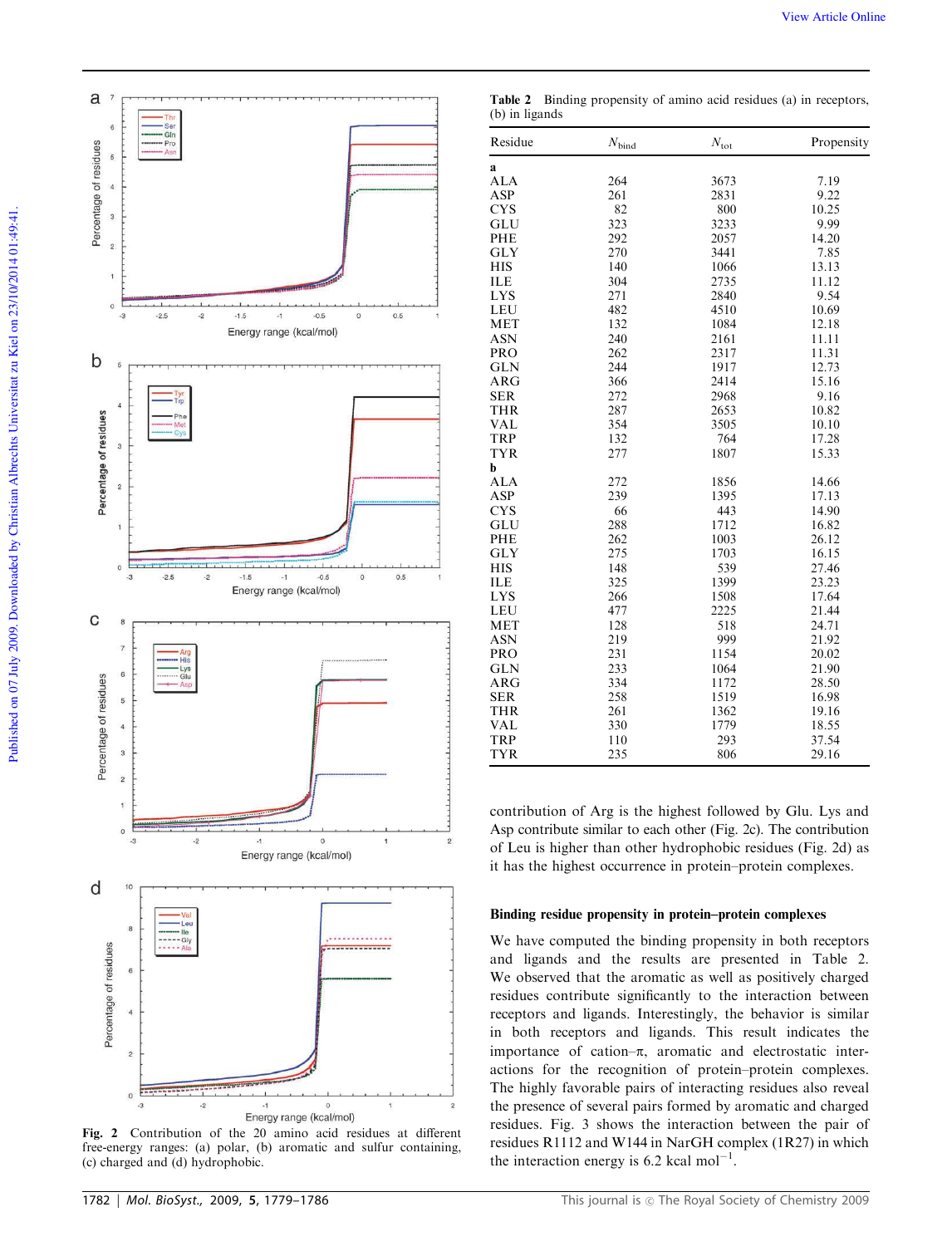



 $N_{\text{bind}}$  *N*<sub>tot</sub> Propensity

| Th<br>Ser      | (b) in ligands                       |                          |                                                             |               |                |
|----------------|--------------------------------------|--------------------------|-------------------------------------------------------------|---------------|----------------|
| Gln<br>Pro     |                                      | Residue                  | $N_{\text{bind}}$                                           | $N_{\rm tot}$ | Prop           |
|                |                                      | $\bf{a}$                 |                                                             |               |                |
|                |                                      | <b>ALA</b><br><b>ASP</b> | 264<br>261                                                  | 3673<br>2831  | 7.19<br>9.22   |
|                |                                      | <b>CYS</b>               | 82                                                          | 800           | 10.25          |
|                |                                      | GLU                      | 323                                                         | 3233          | 9.99           |
|                |                                      | PHE                      | 292                                                         | 2057          | 14.20          |
|                |                                      | <b>GLY</b>               | 270                                                         | 3441          | 7.85           |
|                |                                      | <b>HIS</b>               | 140                                                         | 1066          | 13.13          |
|                |                                      | ILE                      | 304                                                         | 2735          | 11.12          |
|                |                                      | <b>LYS</b>               | 271                                                         | 2840          | 9.54           |
| $-2.5$<br>$-2$ | $-1.5$<br>$-0.5$<br>0.5<br>$-1$<br>O | <b>LEU</b>               | 482                                                         | 4510          | 10.69          |
|                | Energy range (kcal/mol)              | <b>MET</b>               | 132                                                         | 1084          | 12.18          |
|                |                                      | <b>ASN</b>               | 240                                                         | 2161          | 11.11          |
|                |                                      | <b>PRO</b>               | 262                                                         | 2317          | 11.31          |
|                |                                      | <b>GLN</b>               | 244                                                         | 1917          | 12.73          |
|                |                                      | <b>ARG</b>               | 366                                                         | 2414          | 15.16          |
|                |                                      | <b>SER</b>               | 272                                                         | 2968          | 9.16           |
|                |                                      | <b>THR</b>               | 287                                                         | 2653          | 10.82          |
|                |                                      | <b>VAL</b>               | 354                                                         | 3505          | 10.10          |
|                |                                      | TRP                      | 132                                                         | 764           | 17.28          |
|                |                                      | <b>TYR</b>               | 277                                                         | 1807          | 15.33          |
|                |                                      | b                        |                                                             |               |                |
|                |                                      | <b>ALA</b>               | 272                                                         | 1856          | 14.66          |
|                |                                      | ASP                      | 239                                                         | 1395          | 17.13          |
|                |                                      | <b>CYS</b>               | 66                                                          | 443           | 14.90          |
|                |                                      | GLU                      | 288                                                         | 1712          | 16.82          |
|                |                                      | PHE                      | 262                                                         | 1003          | 26.12          |
|                |                                      | <b>GLY</b>               | 275                                                         | 1703          | 16.15          |
| $-1.5$         | $-0.5$<br>0.5<br>$-1$<br>$\,0\,$     | <b>HIS</b><br>ILE        | 148<br>325                                                  | 539<br>1399   | 27.46          |
|                | Energy range (kcal/mol)              | <b>LYS</b>               | 266                                                         | 1508          | 23.23<br>17.64 |
|                |                                      | LEU                      | 477                                                         | 2225          | 21.44          |
|                |                                      | <b>MET</b>               | 128                                                         | 518           | 24.71          |
|                |                                      | <b>ASN</b>               | 219                                                         | 999           | 21.92          |
|                |                                      | <b>PRO</b>               | 231                                                         | 1154          | 20.02          |
|                |                                      | <b>GLN</b>               | 233                                                         | 1064          | 21.90          |
|                |                                      | ARG                      | 334                                                         | 1172          | 28.50          |
|                |                                      | <b>SER</b>               | 258                                                         | 1519          | 16.98          |
|                |                                      | THR                      | 261                                                         | 1362          | 19.16          |
|                |                                      | <b>VAL</b>               | 330                                                         | 1779          | 18.55          |
|                |                                      | TRP                      | 110                                                         | 293           | 37.54          |
|                |                                      | <b>TYR</b>               | 235                                                         | 806           | 29.16          |
|                |                                      |                          |                                                             |               |                |
|                |                                      |                          |                                                             |               |                |
|                |                                      |                          | contribution of Arg is the highest followed by Glu. Lys     |               |                |
|                |                                      |                          | Asp contribute similar to each other (Fig. 2c). The contrib |               |                |
|                |                                      |                          | of Leu is higher than other hydrophobic residues (Fig. 2)   |               |                |
|                | Energy range (kcal/mol)              |                          | it has the highest occurrence in protein-protein complex    |               |                |
|                |                                      |                          |                                                             |               |                |
|                |                                      |                          |                                                             |               |                |
|                |                                      |                          | Binding residue propensity in protein-protein complexes     |               |                |
|                |                                      |                          | We have computed the binding propensity in both rece        |               |                |
|                |                                      |                          | and ligands and the results are presented in Tab            |               |                |
|                |                                      |                          | We observed that the aromatic as well as positively cha     |               |                |
|                |                                      |                          | residues contribute significantly to the interaction bet    |               |                |
|                |                                      |                          |                                                             |               |                |
|                |                                      |                          | receptors and ligands. Interestingly, the behavior is si    |               |                |
|                |                                      |                          | in both receptors and ligands. This result indicates        |               |                |
|                |                                      |                          | importance of cation- $\pi$ , aromatic and electrostatic i  |               |                |
|                |                                      |                          | actions for the recognition of protein-protein compl        |               |                |
|                |                                      |                          | The highly favorable pairs of interacting residues also r   |               |                |
|                | $\mathbf{1}$<br>$\overline{2}$       |                          |                                                             |               |                |
|                | $-1$<br>Energy range (kcal/mol)      |                          | the presence of several pairs formed by aromatic and cha    |               |                |

Fig. 2 Contribution of the 20 amino acid residues at different free-energy ranges: (a) polar, (b) aromatic and sulfur containing, (c) charged and (d) hydrophobic.

| а                                                                                                             |               |
|---------------------------------------------------------------------------------------------------------------|---------------|
|                                                                                                               |               |
| Percentage of residues                                                                                        |               |
|                                                                                                               |               |
|                                                                                                               | $\frac{4}{3}$ |
|                                                                                                               |               |
|                                                                                                               |               |
|                                                                                                               |               |
|                                                                                                               |               |
| b                                                                                                             |               |
|                                                                                                               |               |
|                                                                                                               |               |
|                                                                                                               |               |
| Percentage of residues                                                                                        |               |
|                                                                                                               |               |
|                                                                                                               |               |
|                                                                                                               |               |
|                                                                                                               |               |
| Published on 07 July 2009. Downloaded by Christian Albrechts Universitat zu Kiel on 23/10/2014 01:49:41.<br>C |               |
|                                                                                                               |               |
|                                                                                                               |               |
| Percentage of residues                                                                                        |               |
|                                                                                                               |               |
|                                                                                                               |               |

d

Percentage of residues

| CYS        | 82  | 800  | 10.25 |
|------------|-----|------|-------|
| GLU        | 323 | 3233 | 9.99  |
| PHE        | 292 | 2057 | 14.20 |
| <b>GLY</b> | 270 | 3441 | 7.85  |
| <b>HIS</b> | 140 | 1066 | 13.13 |
| <b>ILE</b> | 304 | 2735 | 11.12 |
| <b>LYS</b> | 271 | 2840 | 9.54  |
| <b>LEU</b> | 482 | 4510 | 10.69 |
| <b>MET</b> | 132 | 1084 | 12.18 |
| <b>ASN</b> | 240 | 2161 | 11.11 |
| <b>PRO</b> | 262 | 2317 | 11.31 |
| <b>GLN</b> | 244 | 1917 | 12.73 |
| <b>ARG</b> | 366 | 2414 | 15.16 |
| <b>SER</b> | 272 | 2968 | 9.16  |
| <b>THR</b> | 287 | 2653 | 10.82 |
| <b>VAL</b> | 354 | 3505 | 10.10 |
| <b>TRP</b> | 132 | 764  | 17.28 |
| <b>TYR</b> | 277 | 1807 | 15.33 |
| b          |     |      |       |
| ALA        | 272 | 1856 | 14.66 |
| ASP        | 239 | 1395 | 17.13 |
| <b>CYS</b> | 66  | 443  | 14.90 |
| GLU        | 288 | 1712 | 16.82 |
| PHE        | 262 | 1003 | 26.12 |
| <b>GLY</b> | 275 | 1703 | 16.15 |
| HIS        | 148 | 539  | 27.46 |
| ILE        | 325 | 1399 | 23.23 |
| <b>LYS</b> | 266 | 1508 | 17.64 |
| LEU        | 477 | 2225 | 21.44 |
| <b>MET</b> | 128 | 518  | 24.71 |
| <b>ASN</b> | 219 | 999  | 21.92 |
| <b>PRO</b> | 231 | 1154 | 20.02 |
| <b>GLN</b> | 233 | 1064 | 21.90 |
| <b>ARG</b> | 334 | 1172 | 28.50 |
| <b>SER</b> | 258 | 1519 | 16.98 |
| <b>THR</b> | 261 | 1362 | 19.16 |
| <b>VAL</b> | 330 | 1779 | 18.55 |
| TRP        | 110 | 293  | 37.54 |
|            |     |      |       |

bution of Arg is the highest followed by Glu. Lys and ontribute similar to each other (Fig. 2c). The contribution i is higher than other hydrophobic residues (Fig. 2d) as the highest occurrence in protein–protein complexes.

#### g residue propensity in protein–protein complexes

we computed the binding propensity in both receptors igands and the results are presented in Table 2. bserved that the aromatic as well as positively charged es contribute significantly to the interaction between ors and ligands. Interestingly, the behavior is similar th receptors and ligands. This result indicates the tance of cation– $\pi$ , aromatic and electrostatic inters for the recognition of protein–protein complexes. ighly favorable pairs of interacting residues also reveal tesence of several pairs formed by aromatic and charged residues. Fig. 3 shows the interaction between the pair of residues R1112 and W144 in NarGH complex (1R27) in which the interaction energy is 6.2 kcal mol<sup>-1</sup>.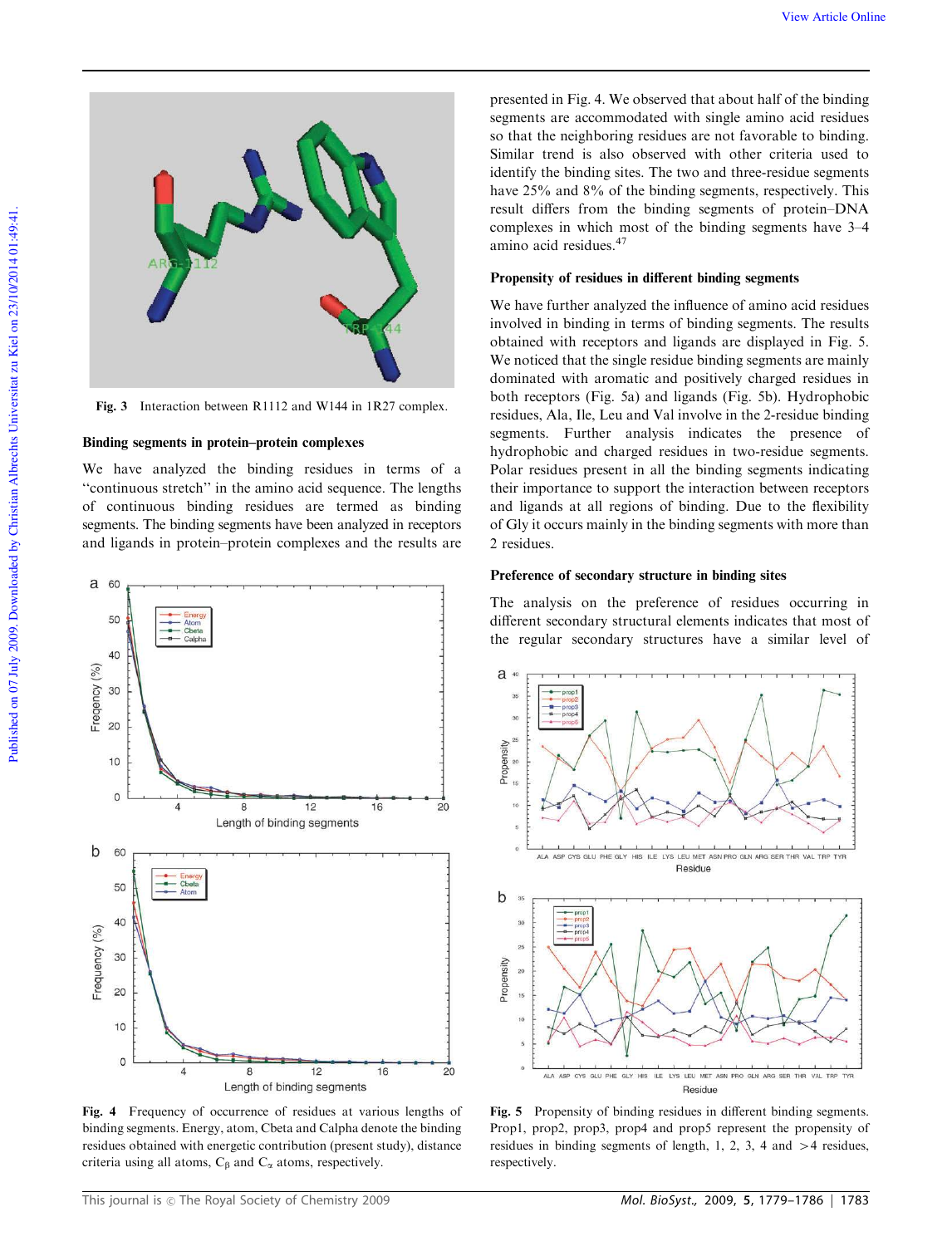

Fig. 3 Interaction between R1112 and W144 in 1R27 complex.

#### Binding segments in protein–protein complexes

We have analyzed the binding residues in terms of a ''continuous stretch'' in the amino acid sequence. The lengths of continuous binding residues are termed as binding segments. The binding segments have been analyzed in receptors and ligands in protein–protein complexes and the results are



Fig. 4 Frequency of occurrence of residues at various lengths of binding segments. Energy, atom, Cbeta and Calpha denote the binding residues obtained with energetic contribution (present study), distance criteria using all atoms,  $C_\beta$  and  $C_\alpha$  atoms, respectively.

presented in Fig. 4. We observed that about half of the binding segments are accommodated with single amino acid residues so that the neighboring residues are not favorable to binding. Similar trend is also observed with other criteria used to identify the binding sites. The two and three-residue segments have 25% and 8% of the binding segments, respectively. This result differs from the binding segments of protein–DNA complexes in which most of the binding segments have 3–4 amino acid residues.<sup>47</sup>

#### Propensity of residues in different binding segments

We have further analyzed the influence of amino acid residues involved in binding in terms of binding segments. The results obtained with receptors and ligands are displayed in Fig. 5. We noticed that the single residue binding segments are mainly dominated with aromatic and positively charged residues in both receptors (Fig. 5a) and ligands (Fig. 5b). Hydrophobic residues, Ala, Ile, Leu and Val involve in the 2-residue binding segments. Further analysis indicates the presence of hydrophobic and charged residues in two-residue segments. Polar residues present in all the binding segments indicating their importance to support the interaction between receptors and ligands at all regions of binding. Due to the flexibility of Gly it occurs mainly in the binding segments with more than 2 residues.

#### Preference of secondary structure in binding sites

The analysis on the preference of residues occurring in different secondary structural elements indicates that most of the regular secondary structures have a similar level of



Fig. 5 Propensity of binding residues in different binding segments. Prop1, prop2, prop3, prop4 and prop5 represent the propensity of residues in binding segments of length, 1, 2, 3, 4 and  $>4$  residues, respectively.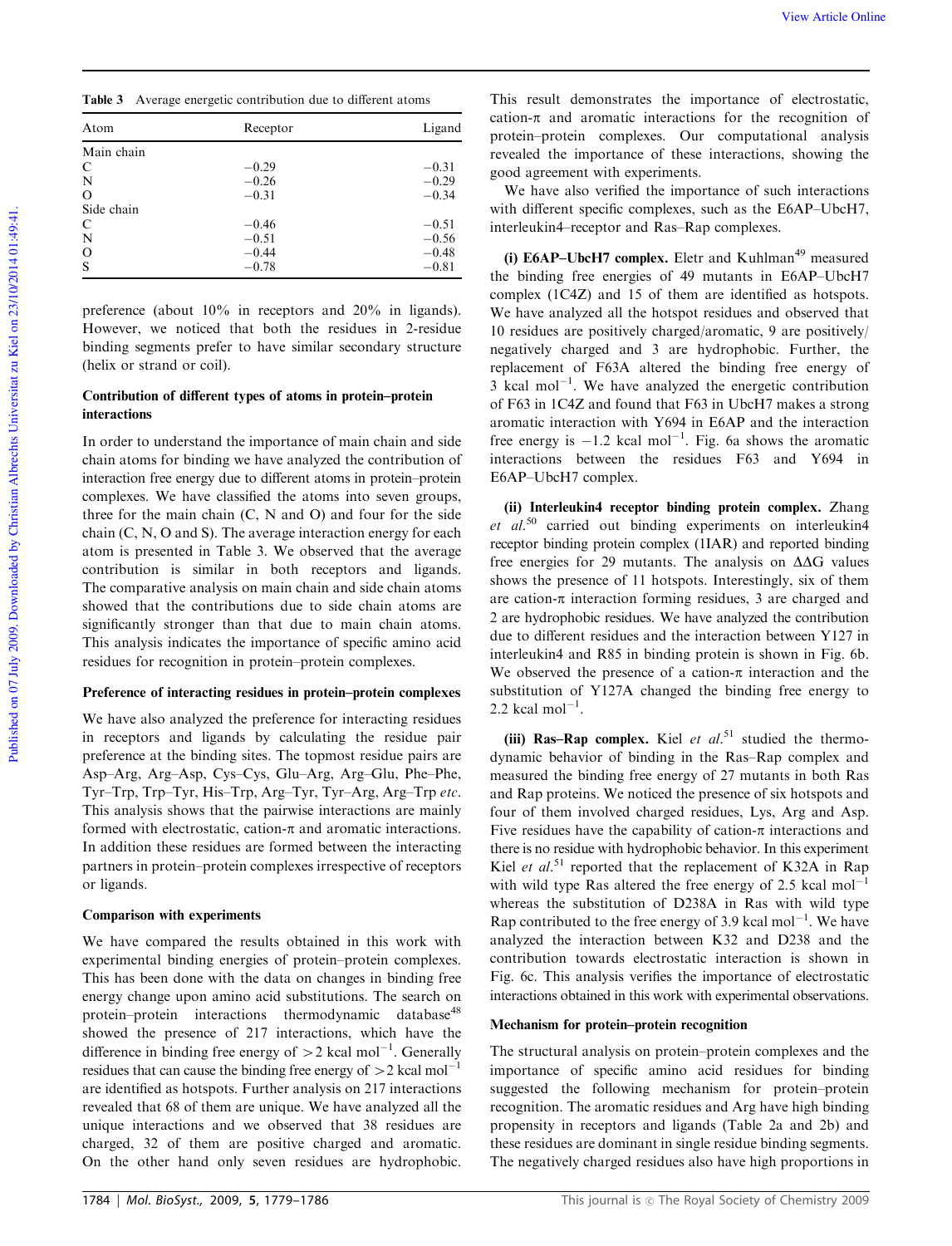| Atom       | Receptor | Ligand  |
|------------|----------|---------|
| Main chain |          |         |
| C          | $-0.29$  | $-0.31$ |
| N          | $-0.26$  | $-0.29$ |
| $\Omega$   | $-0.31$  | $-0.34$ |
| Side chain |          |         |
| C          | $-0.46$  | $-0.51$ |
| N          | $-0.51$  | $-0.56$ |
| $\Omega$   | $-0.44$  | $-0.48$ |
| S          | $-0.78$  | $-0.81$ |

preference (about 10% in receptors and 20% in ligands). However, we noticed that both the residues in 2-residue binding segments prefer to have similar secondary structure (helix or strand or coil).

#### Contribution of different types of atoms in protein–protein interactions

In order to understand the importance of main chain and side chain atoms for binding we have analyzed the contribution of interaction free energy due to different atoms in protein–protein complexes. We have classified the atoms into seven groups, three for the main chain (C, N and O) and four for the side chain (C, N, O and S). The average interaction energy for each atom is presented in Table 3. We observed that the average contribution is similar in both receptors and ligands. The comparative analysis on main chain and side chain atoms showed that the contributions due to side chain atoms are significantly stronger than that due to main chain atoms. This analysis indicates the importance of specific amino acid residues for recognition in protein–protein complexes.

#### Preference of interacting residues in protein–protein complexes

We have also analyzed the preference for interacting residues in receptors and ligands by calculating the residue pair preference at the binding sites. The topmost residue pairs are Asp–Arg, Arg–Asp, Cys–Cys, Glu–Arg, Arg–Glu, Phe–Phe, Tyr–Trp, Trp–Tyr, His–Trp, Arg–Tyr, Tyr–Arg, Arg–Trp *etc*. This analysis shows that the pairwise interactions are mainly formed with electrostatic, cation- $\pi$  and aromatic interactions. In addition these residues are formed between the interacting partners in protein–protein complexes irrespective of receptors or ligands.

#### Comparison with experiments

We have compared the results obtained in this work with experimental binding energies of protein–protein complexes. This has been done with the data on changes in binding free energy change upon amino acid substitutions. The search on protein–protein interactions thermodynamic database<sup>48</sup> showed the presence of 217 interactions, which have the difference in binding free energy of  $>$  2 kcal mol<sup>-1</sup>. Generally residues that can cause the binding free energy of  $>$  2 kcal mol<sup>-1</sup> are identified as hotspots. Further analysis on 217 interactions revealed that 68 of them are unique. We have analyzed all the unique interactions and we observed that 38 residues are charged, 32 of them are positive charged and aromatic. On the other hand only seven residues are hydrophobic.

This result demonstrates the importance of electrostatic, cation- $\pi$  and aromatic interactions for the recognition of protein–protein complexes. Our computational analysis revealed the importance of these interactions, showing the good agreement with experiments.

We have also verified the importance of such interactions with different specific complexes, such as the E6AP–UbcH7, interleukin4–receptor and Ras–Rap complexes.

(i) E6AP-UbcH7 complex. Eletr and Kuhlman<sup>49</sup> measured the binding free energies of 49 mutants in E6AP–UbcH7 complex (1C4Z) and 15 of them are identified as hotspots. We have analyzed all the hotspot residues and observed that 10 residues are positively charged/aromatic, 9 are positively/ negatively charged and 3 are hydrophobic. Further, the replacement of F63A altered the binding free energy of 3 kcal mol<sup>-1</sup>. We have analyzed the energetic contribution of F63 in 1C4Z and found that F63 in UbcH7 makes a strong aromatic interaction with Y694 in E6AP and the interaction free energy is  $-1.2$  kcal mol<sup>-1</sup>. Fig. 6a shows the aromatic interactions between the residues F63 and Y694 in E6AP–UbcH7 complex.

(ii) Interleukin4 receptor binding protein complex. Zhang *et al.*<sup>50</sup> carried out binding experiments on interleukin4 receptor binding protein complex (1IAR) and reported binding free energies for 29 mutants. The analysis on  $\Delta\Delta G$  values shows the presence of 11 hotspots. Interestingly, six of them are cation- $\pi$  interaction forming residues, 3 are charged and 2 are hydrophobic residues. We have analyzed the contribution due to different residues and the interaction between Y127 in interleukin4 and R85 in binding protein is shown in Fig. 6b. We observed the presence of a cation- $\pi$  interaction and the substitution of Y127A changed the binding free energy to  $2.2$  kcal mol<sup>-1</sup>.

(iii) Ras–Rap complex. Kiel  $et \ al.<sup>51</sup>$  studied the thermodynamic behavior of binding in the Ras–Rap complex and measured the binding free energy of 27 mutants in both Ras and Rap proteins. We noticed the presence of six hotspots and four of them involved charged residues, Lys, Arg and Asp. Five residues have the capability of cation- $\pi$  interactions and there is no residue with hydrophobic behavior. In this experiment Kiel *et al.*<sup>51</sup> reported that the replacement of K32A in Rap with wild type Ras altered the free energy of 2.5 kcal mol<sup>-1</sup> whereas the substitution of D238A in Ras with wild type Rap contributed to the free energy of 3.9 kcal mol<sup>-1</sup>. We have analyzed the interaction between K32 and D238 and the contribution towards electrostatic interaction is shown in Fig. 6c. This analysis verifies the importance of electrostatic interactions obtained in this work with experimental observations.

#### Mechanism for protein–protein recognition

The structural analysis on protein–protein complexes and the importance of specific amino acid residues for binding suggested the following mechanism for protein–protein recognition. The aromatic residues and Arg have high binding propensity in receptors and ligands (Table 2a and 2b) and these residues are dominant in single residue binding segments. The negatively charged residues also have high proportions in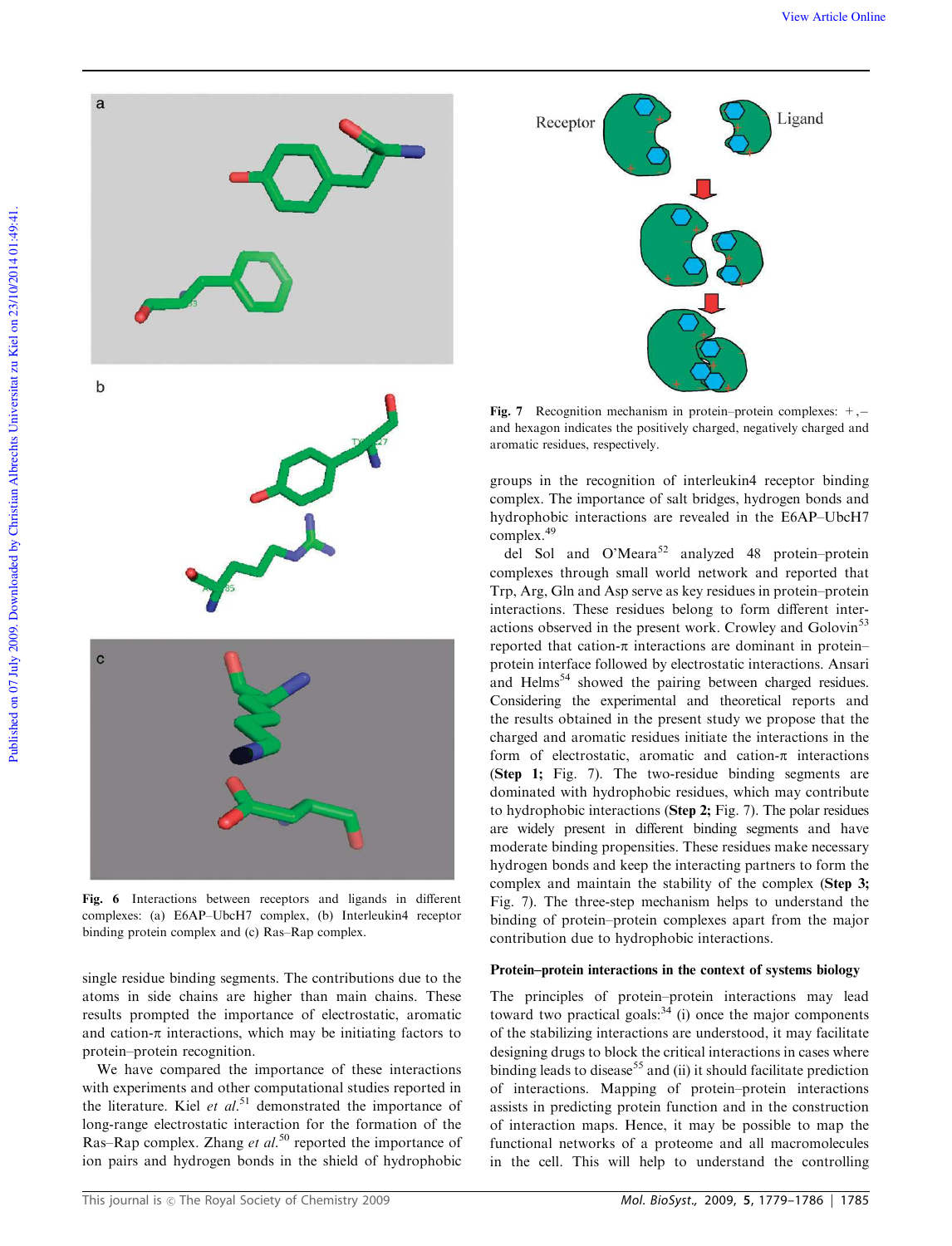

Fig. 6 Interactions between receptors and ligands in different complexes: (a) E6AP–UbcH7 complex, (b) Interleukin4 receptor binding protein complex and (c) Ras–Rap complex.

single residue binding segments. The contributions due to the atoms in side chains are higher than main chains. These results prompted the importance of electrostatic, aromatic and cation- $\pi$  interactions, which may be initiating factors to protein–protein recognition.

We have compared the importance of these interactions with experiments and other computational studies reported in the literature. Kiel *et al.*<sup>51</sup> demonstrated the importance of long-range electrostatic interaction for the formation of the Ras–Rap complex. Zhang *et al.*<sup>50</sup> reported the importance of ion pairs and hydrogen bonds in the shield of hydrophobic



Fig. 7 Recognition mechanism in protein–protein complexes:  $+$ ,and hexagon indicates the positively charged, negatively charged and aromatic residues, respectively.

groups in the recognition of interleukin4 receptor binding complex. The importance of salt bridges, hydrogen bonds and hydrophobic interactions are revealed in the E6AP–UbcH7 complex.<sup>49</sup>

del Sol and O'Meara<sup>52</sup> analyzed 48 protein–protein complexes through small world network and reported that Trp, Arg, Gln and Asp serve as key residues in protein–protein interactions. These residues belong to form different interactions observed in the present work. Crowley and Golovin<sup>53</sup> reported that cation- $\pi$  interactions are dominant in protein– protein interface followed by electrostatic interactions. Ansari and Helms<sup>54</sup> showed the pairing between charged residues. Considering the experimental and theoretical reports and the results obtained in the present study we propose that the charged and aromatic residues initiate the interactions in the form of electrostatic, aromatic and cation- $\pi$  interactions (Step 1; Fig. 7). The two-residue binding segments are dominated with hydrophobic residues, which may contribute to hydrophobic interactions (Step 2; Fig. 7). The polar residues are widely present in different binding segments and have moderate binding propensities. These residues make necessary hydrogen bonds and keep the interacting partners to form the complex and maintain the stability of the complex (Step 3; Fig. 7). The three-step mechanism helps to understand the binding of protein–protein complexes apart from the major contribution due to hydrophobic interactions.

#### Protein–protein interactions in the context of systems biology

The principles of protein–protein interactions may lead toward two practical goals: $34$  (i) once the major components of the stabilizing interactions are understood, it may facilitate designing drugs to block the critical interactions in cases where binding leads to disease<sup>55</sup> and (ii) it should facilitate prediction of interactions. Mapping of protein–protein interactions assists in predicting protein function and in the construction of interaction maps. Hence, it may be possible to map the functional networks of a proteome and all macromolecules in the cell. This will help to understand the controlling